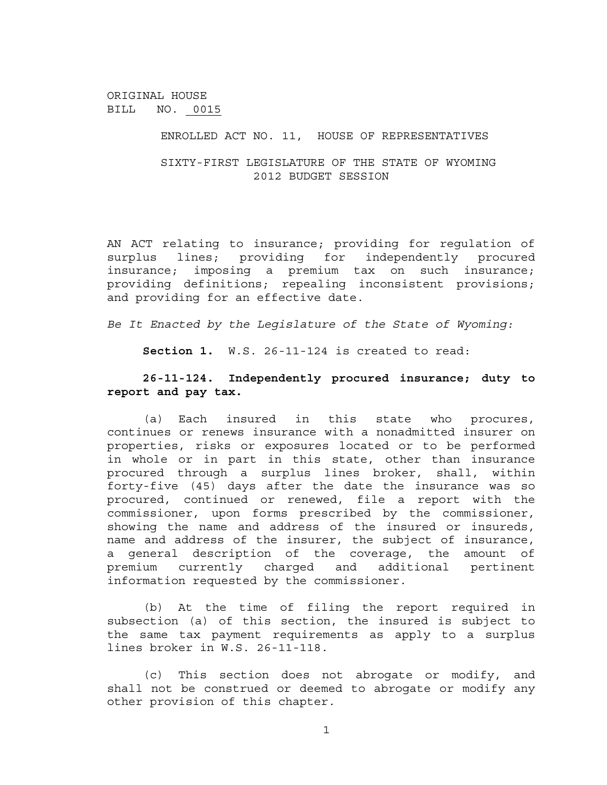ENROLLED ACT NO. 11, HOUSE OF REPRESENTATIVES

SIXTY-FIRST LEGISLATURE OF THE STATE OF WYOMING 2012 BUDGET SESSION

AN ACT relating to insurance; providing for regulation of surplus lines; providing for independently procured insurance; imposing a premium tax on such insurance; providing definitions; repealing inconsistent provisions; and providing for an effective date.

*Be It Enacted by the Legislature of the State of Wyoming:*

**Section 1.** W.S. 26-11-124 is created to read:

# **26-11-124. Independently procured insurance; duty to report and pay tax.**

(a) Each insured in this state who procures, continues or renews insurance with a nonadmitted insurer on properties, risks or exposures located or to be performed in whole or in part in this state, other than insurance procured through a surplus lines broker, shall, within forty-five (45) days after the date the insurance was so procured, continued or renewed, file a report with the commissioner, upon forms prescribed by the commissioner, showing the name and address of the insured or insureds, name and address of the insurer, the subject of insurance, a general description of the coverage, the amount of premium currently charged and additional pertinent information requested by the commissioner.

(b) At the time of filing the report required in subsection (a) of this section, the insured is subject to the same tax payment requirements as apply to a surplus lines broker in W.S. 26-11-118.

(c) This section does not abrogate or modify, and shall not be construed or deemed to abrogate or modify any other provision of this chapter.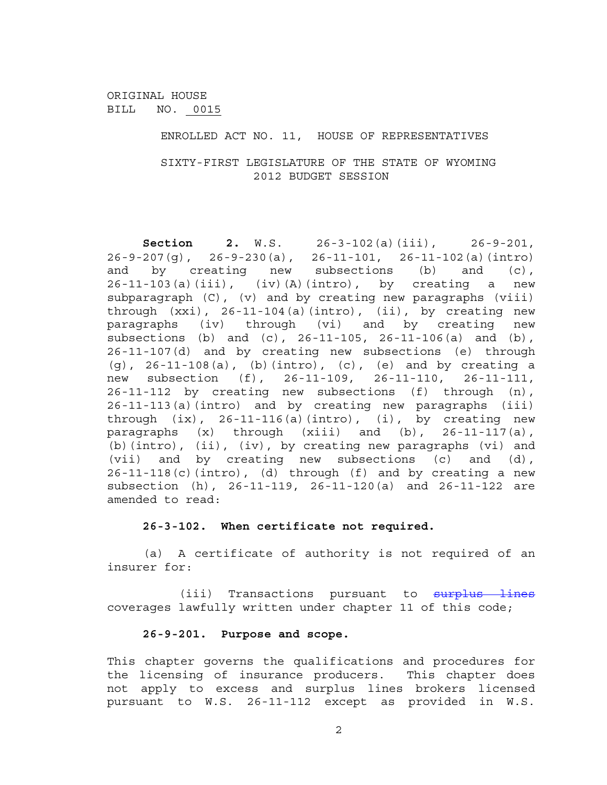ENROLLED ACT NO. 11, HOUSE OF REPRESENTATIVES

SIXTY-FIRST LEGISLATURE OF THE STATE OF WYOMING 2012 BUDGET SESSION

**Section 2.** W.S. 26-3-102(a)(iii), 26-9-201, 26-9-207(g), 26-9-230(a), 26-11-101, 26-11-102(a)(intro) and by creating new subsections (b) and (c),  $26-11-103(a)(iii)$ ,  $(iv)(A)(intro)$ , by creating a new subparagraph (C), (v) and by creating new paragraphs (viii) through  $(xxi)$ , 26-11-104(a)(intro), (ii), by creating new paragraphs (iv) through (vi) and by creating new subsections (b) and (c), 26-11-105, 26-11-106(a) and (b), 26-11-107(d) and by creating new subsections (e) through (g), 26-11-108(a), (b)(intro), (c), (e) and by creating a new subsection (f), 26-11-109, 26-11-110, 26-11-111, 26-11-112 by creating new subsections (f) through (n), 26-11-113(a)(intro) and by creating new paragraphs (iii) through  $(ix)$ , 26-11-116(a)(intro), (i), by creating new paragraphs (x) through (xiii) and (b), 26-11-117(a), (b)(intro), (ii), (iv), by creating new paragraphs (vi) and (vii) and by creating new subsections (c) and (d),  $26-11-118(c)$  (intro), (d) through (f) and by creating a new subsection (h), 26-11-119, 26-11-120(a) and 26-11-122 are amended to read:

#### **26-3-102. When certificate not required.**

(a) A certificate of authority is not required of an insurer for:

(iii) Transactions pursuant to surplus lines coverages lawfully written under chapter 11 of this code;

### **26-9-201. Purpose and scope.**

This chapter governs the qualifications and procedures for the licensing of insurance producers. This chapter does not apply to excess and surplus lines brokers licensed pursuant to W.S. 26-11-112 except as provided in W.S.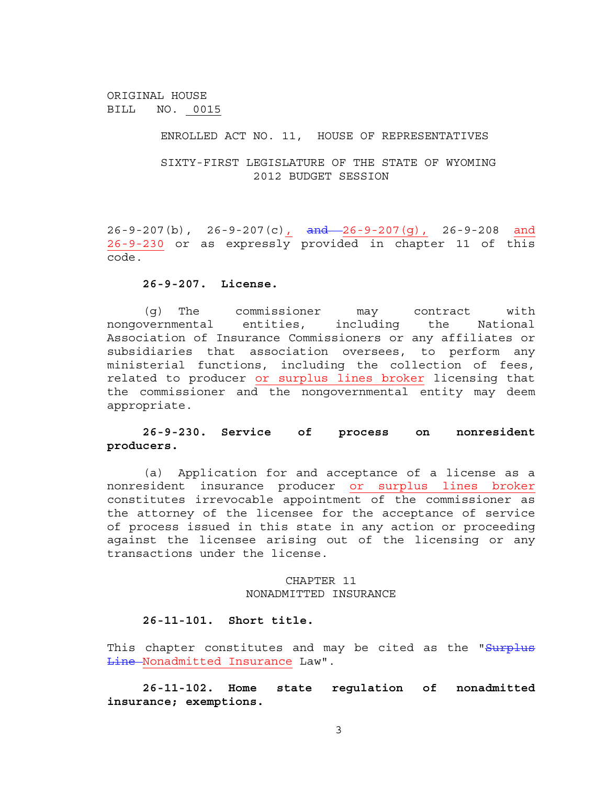ENROLLED ACT NO. 11, HOUSE OF REPRESENTATIVES

SIXTY-FIRST LEGISLATURE OF THE STATE OF WYOMING 2012 BUDGET SESSION

26-9-207(b), 26-9-207(c), and 26-9-207(g), 26-9-208 and 26-9-230 or as expressly provided in chapter 11 of this code.

#### **26-9-207. License.**

(g) The commissioner may contract with nongovernmental entities, including the National Association of Insurance Commissioners or any affiliates or subsidiaries that association oversees, to perform any ministerial functions, including the collection of fees, related to producer or surplus lines broker licensing that the commissioner and the nongovernmental entity may deem appropriate.

### **26-9-230. Service of process on nonresident producers.**

(a) Application for and acceptance of a license as a nonresident insurance producer or surplus lines broker constitutes irrevocable appointment of the commissioner as the attorney of the licensee for the acceptance of service of process issued in this state in any action or proceeding against the licensee arising out of the licensing or any transactions under the license.

#### CHAPTER 11 NONADMITTED INSURANCE

#### **26-11-101. Short title.**

This chapter constitutes and may be cited as the "Surplus Line Nonadmitted Insurance Law".

**26-11-102. Home state regulation of nonadmitted insurance; exemptions.**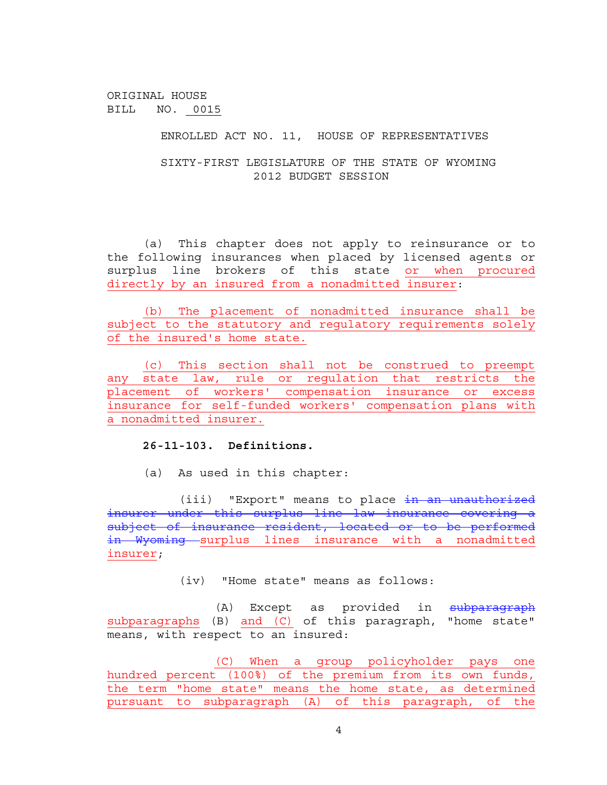ENROLLED ACT NO. 11, HOUSE OF REPRESENTATIVES

SIXTY-FIRST LEGISLATURE OF THE STATE OF WYOMING 2012 BUDGET SESSION

(a) This chapter does not apply to reinsurance or to the following insurances when placed by licensed agents or surplus line brokers of this state or when procured directly by an insured from a nonadmitted insurer:

(b) The placement of nonadmitted insurance shall be subject to the statutory and regulatory requirements solely of the insured's home state.

(c) This section shall not be construed to preempt any state law, rule or regulation that restricts the placement of workers' compensation insurance or excess insurance for self-funded workers' compensation plans with a nonadmitted insurer.

### **26-11-103. Definitions.**

(a) As used in this chapter:

(iii) "Export" means to place in an unauthorized insurer under this surplus line law insurance covering a subject of insurance resident, located or to be performed in Wyoming surplus lines insurance with a nonadmitted insurer;

(iv) "Home state" means as follows:

(A) Except as provided in subparagraph subparagraphs (B) and (C) of this paragraph, "home state" means, with respect to an insured:

(C) When a group policyholder pays one hundred percent (100%) of the premium from its own funds, the term "home state" means the home state, as determined pursuant to subparagraph (A) of this paragraph, of the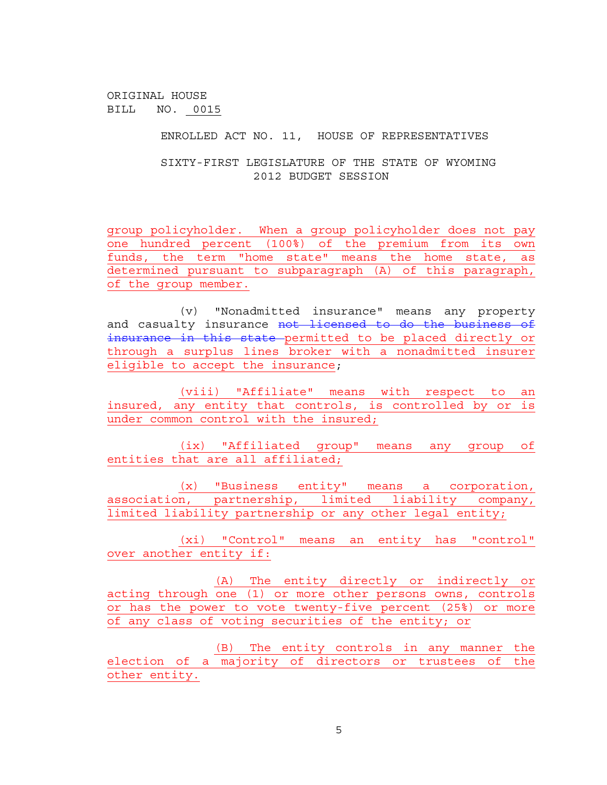ENROLLED ACT NO. 11, HOUSE OF REPRESENTATIVES

SIXTY-FIRST LEGISLATURE OF THE STATE OF WYOMING 2012 BUDGET SESSION

group policyholder. When a group policyholder does not pay one hundred percent (100%) of the premium from its own funds, the term "home state" means the home state, as determined pursuant to subparagraph (A) of this paragraph, of the group member.

(v) "Nonadmitted insurance" means any property and casualty insurance not licensed to do the business of insurance in this state permitted to be placed directly or through a surplus lines broker with a nonadmitted insurer eligible to accept the insurance;

(viii) "Affiliate" means with respect to an insured, any entity that controls, is controlled by or is under common control with the insured;

(ix) "Affiliated group" means any group of entities that are all affiliated;

(x) "Business entity" means a corporation, association, partnership, limited liability company, limited liability partnership or any other legal entity;

(xi) "Control" means an entity has "control" over another entity if:

(A) The entity directly or indirectly or acting through one (1) or more other persons owns, controls or has the power to vote twenty-five percent (25%) or more of any class of voting securities of the entity; or

(B) The entity controls in any manner the election of a majority of directors or trustees of the other entity.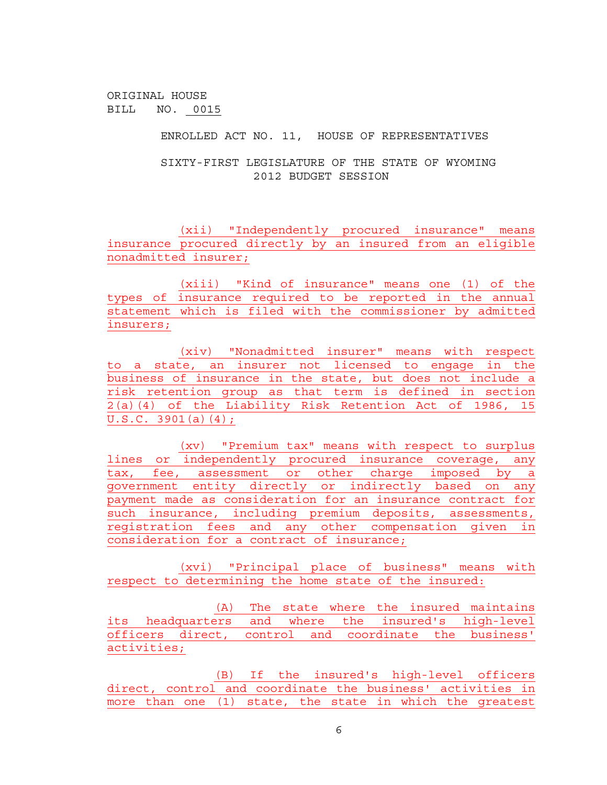ENROLLED ACT NO. 11, HOUSE OF REPRESENTATIVES

SIXTY-FIRST LEGISLATURE OF THE STATE OF WYOMING 2012 BUDGET SESSION

(xii) "Independently procured insurance" means insurance procured directly by an insured from an eligible nonadmitted insurer;

(xiii) "Kind of insurance" means one (1) of the types of insurance required to be reported in the annual statement which is filed with the commissioner by admitted insurers;

(xiv) "Nonadmitted insurer" means with respect to a state, an insurer not licensed to engage in the business of insurance in the state, but does not include a risk retention group as that term is defined in section  $2(a)(4)$  of the Liability Risk Retention Act of 1986, 15 U.S.C. 3901(a)(4);

(xv) "Premium tax" means with respect to surplus lines or independently procured insurance coverage, any tax, fee, assessment or other charge imposed by a government entity directly or indirectly based on any payment made as consideration for an insurance contract for such insurance, including premium deposits, assessments, registration fees and any other compensation given in consideration for a contract of insurance;

(xvi) "Principal place of business" means with respect to determining the home state of the insured:

(A) The state where the insured maintains its headquarters and where the insured's high-level officers direct, control and coordinate the business' activities;

(B) If the insured's high-level officers direct, control and coordinate the business' activities in more than one (1) state, the state in which the greatest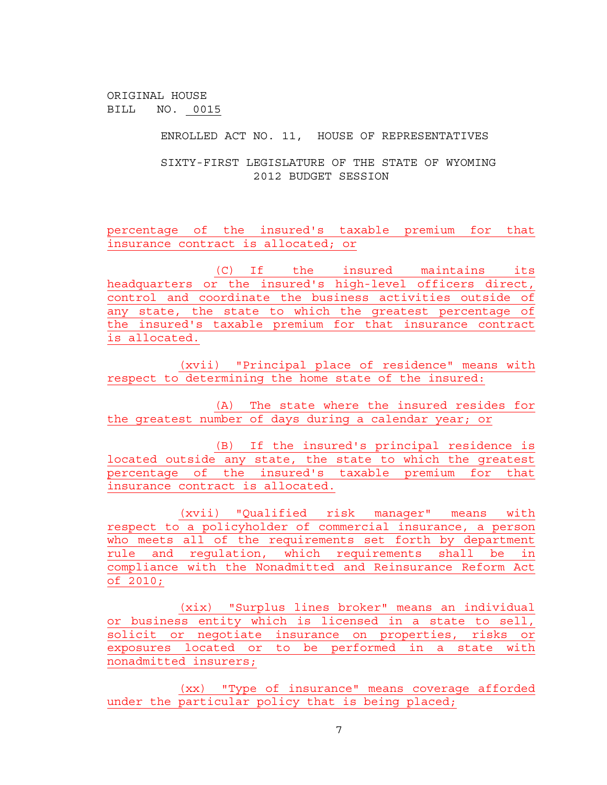ENROLLED ACT NO. 11, HOUSE OF REPRESENTATIVES

SIXTY-FIRST LEGISLATURE OF THE STATE OF WYOMING 2012 BUDGET SESSION

percentage of the insured's taxable premium for that insurance contract is allocated; or

(C) If the insured maintains its headquarters or the insured's high-level officers direct, control and coordinate the business activities outside of any state, the state to which the greatest percentage of the insured's taxable premium for that insurance contract is allocated.

(xvii) "Principal place of residence" means with respect to determining the home state of the insured:

(A) The state where the insured resides for the greatest number of days during a calendar year; or

(B) If the insured's principal residence is located outside any state, the state to which the greatest percentage of the insured's taxable premium for that insurance contract is allocated.

(xvii) "Qualified risk manager" means with respect to a policyholder of commercial insurance, a person who meets all of the requirements set forth by department rule and regulation, which requirements shall be in compliance with the Nonadmitted and Reinsurance Reform Act of 2010;

(xix) "Surplus lines broker" means an individual or business entity which is licensed in a state to sell, solicit or negotiate insurance on properties, risks or exposures located or to be performed in a state with nonadmitted insurers;

(xx) "Type of insurance" means coverage afforded under the particular policy that is being placed;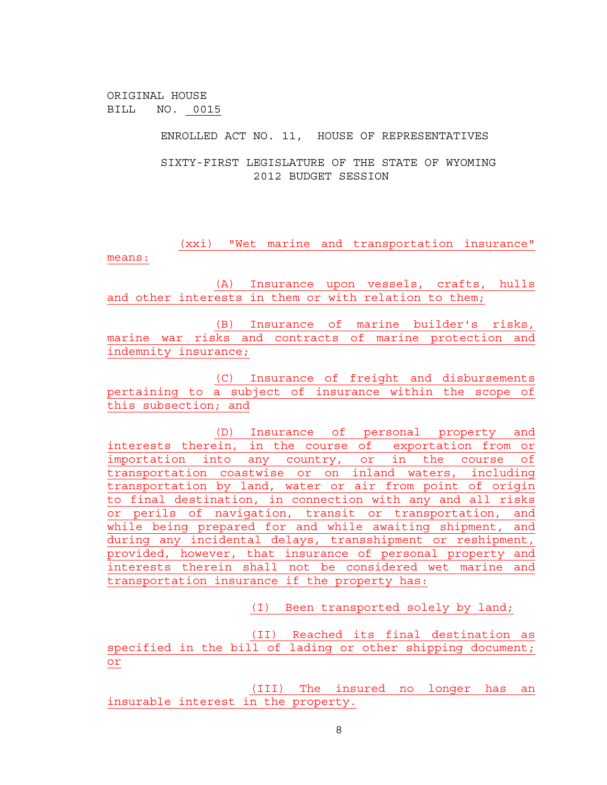ENROLLED ACT NO. 11, HOUSE OF REPRESENTATIVES

SIXTY-FIRST LEGISLATURE OF THE STATE OF WYOMING 2012 BUDGET SESSION

(xxi) "Wet marine and transportation insurance" means:

(A) Insurance upon vessels, crafts, hulls and other interests in them or with relation to them;

(B) Insurance of marine builder's risks, marine war risks and contracts of marine protection and indemnity insurance;

(C) Insurance of freight and disbursements pertaining to a subject of insurance within the scope of this subsection; and

(D) Insurance of personal property and interests therein, in the course of exportation from or importation into any country, or in the course of transportation coastwise or on inland waters, including transportation by land, water or air from point of origin to final destination, in connection with any and all risks or perils of navigation, transit or transportation, and while being prepared for and while awaiting shipment, and during any incidental delays, transshipment or reshipment, provided, however, that insurance of personal property and interests therein shall not be considered wet marine and transportation insurance if the property has:

(I) Been transported solely by land;

(II) Reached its final destination as specified in the bill of lading or other shipping document; or

(III) The insured no longer has an insurable interest in the property.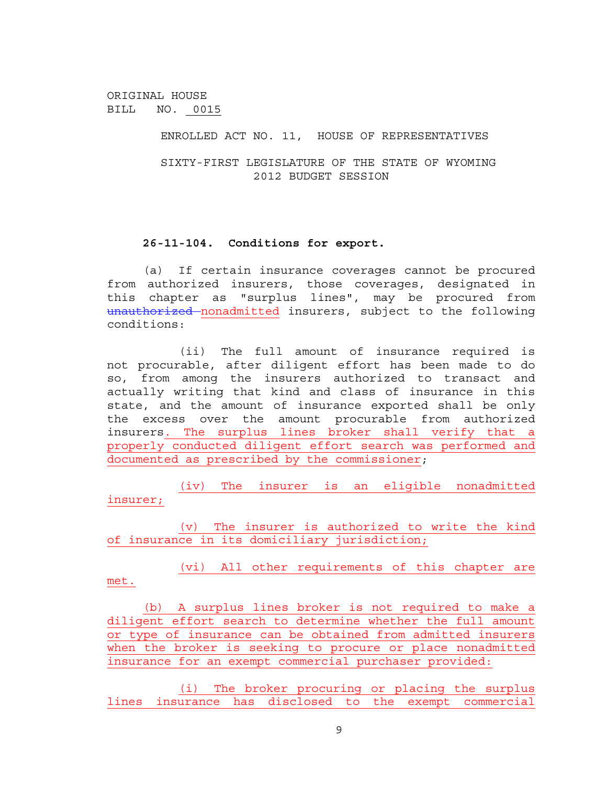ENROLLED ACT NO. 11, HOUSE OF REPRESENTATIVES

SIXTY-FIRST LEGISLATURE OF THE STATE OF WYOMING 2012 BUDGET SESSION

### **26-11-104. Conditions for export.**

(a) If certain insurance coverages cannot be procured from authorized insurers, those coverages, designated in this chapter as "surplus lines", may be procured from unauthorized nonadmitted insurers, subject to the following conditions:

(ii) The full amount of insurance required is not procurable, after diligent effort has been made to do so, from among the insurers authorized to transact and actually writing that kind and class of insurance in this state, and the amount of insurance exported shall be only the excess over the amount procurable from authorized insurers. The surplus lines broker shall verify that a properly conducted diligent effort search was performed and documented as prescribed by the commissioner;

(iv) The insurer is an eligible nonadmitted insurer;

(v) The insurer is authorized to write the kind of insurance in its domiciliary jurisdiction;

(vi) All other requirements of this chapter are met.

(b) A surplus lines broker is not required to make a diligent effort search to determine whether the full amount or type of insurance can be obtained from admitted insurers when the broker is seeking to procure or place nonadmitted insurance for an exempt commercial purchaser provided:

(i) The broker procuring or placing the surplus lines insurance has disclosed to the exempt commercial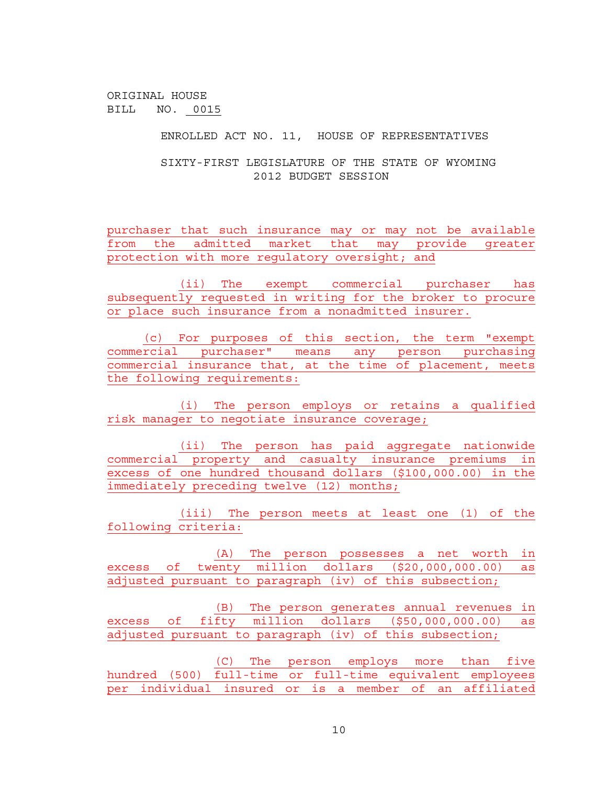ENROLLED ACT NO. 11, HOUSE OF REPRESENTATIVES

SIXTY-FIRST LEGISLATURE OF THE STATE OF WYOMING 2012 BUDGET SESSION

purchaser that such insurance may or may not be available from the admitted market that may provide greater protection with more regulatory oversight; and

(ii) The exempt commercial purchaser has subsequently requested in writing for the broker to procure or place such insurance from a nonadmitted insurer.

(c) For purposes of this section, the term "exempt commercial purchaser" means any person purchasing commercial insurance that, at the time of placement, meets the following requirements:

(i) The person employs or retains a qualified risk manager to negotiate insurance coverage;

(ii) The person has paid aggregate nationwide commercial property and casualty insurance premiums in excess of one hundred thousand dollars (\$100,000.00) in the immediately preceding twelve (12) months;

(iii) The person meets at least one (1) of the following criteria:

(A) The person possesses a net worth in excess of twenty million dollars (\$20,000,000.00) as adjusted pursuant to paragraph (iv) of this subsection;

(B) The person generates annual revenues in excess of fifty million dollars (\$50,000,000.00) as adjusted pursuant to paragraph (iv) of this subsection;

(C) The person employs more than five hundred (500) full-time or full-time equivalent employees per individual insured or is a member of an affiliated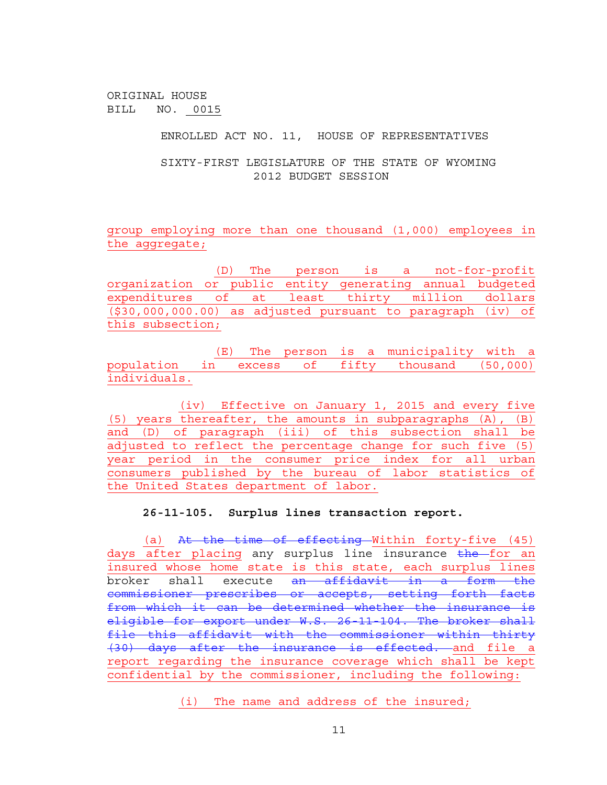ENROLLED ACT NO. 11, HOUSE OF REPRESENTATIVES

SIXTY-FIRST LEGISLATURE OF THE STATE OF WYOMING 2012 BUDGET SESSION

group employing more than one thousand (1,000) employees in the aggregate;

(D) The person is a not-for-profit organization or public entity generating annual budgeted expenditures of at least thirty million dollars (\$30,000,000.00) as adjusted pursuant to paragraph (iv) of this subsection;

(E) The person is a municipality with a population in excess of fifty thousand (50,000) individuals.

(iv) Effective on January 1, 2015 and every five (5) years thereafter, the amounts in subparagraphs (A), (B) and (D) of paragraph (iii) of this subsection shall be adjusted to reflect the percentage change for such five (5) year period in the consumer price index for all urban consumers published by the bureau of labor statistics of the United States department of labor.

**26-11-105. Surplus lines transaction report.** 

(a) At the time of effecting Within forty-five (45) days after placing any surplus line insurance the for an insured whose home state is this state, each surplus lines broker shall execute an affidavit in a form the commissioner prescribes or accepts, setting forth facts from which it can be determined whether the insurance is eligible for export under W.S. 26-11-104. The broker shall file this affidavit with the commissioner within thirty (30) days after the insurance is effected. and file a report regarding the insurance coverage which shall be kept confidential by the commissioner, including the following:

(i) The name and address of the insured;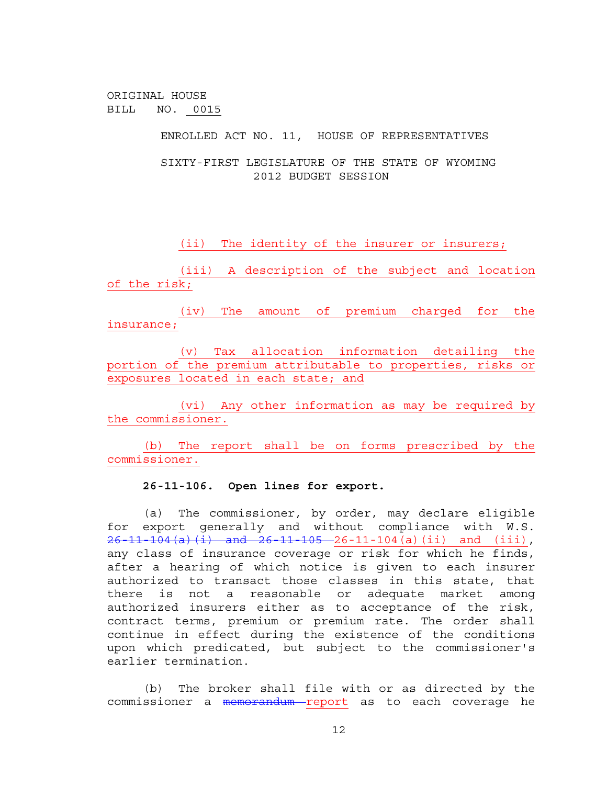ENROLLED ACT NO. 11, HOUSE OF REPRESENTATIVES

SIXTY-FIRST LEGISLATURE OF THE STATE OF WYOMING 2012 BUDGET SESSION

(ii) The identity of the insurer or insurers;

(iii) A description of the subject and location of the risk;

(iv) The amount of premium charged for the insurance;

(v) Tax allocation information detailing the portion of the premium attributable to properties, risks or exposures located in each state; and

(vi) Any other information as may be required by the commissioner.

(b) The report shall be on forms prescribed by the commissioner.

## **26-11-106. Open lines for export.**

(a) The commissioner, by order, may declare eligible for export generally and without compliance with W.S.  $26-11-104(a)(i)$  and  $26-11-105-26-11-104(a)(ii)$  and (iii), any class of insurance coverage or risk for which he finds, after a hearing of which notice is given to each insurer authorized to transact those classes in this state, that there is not a reasonable or adequate market among authorized insurers either as to acceptance of the risk, contract terms, premium or premium rate. The order shall continue in effect during the existence of the conditions upon which predicated, but subject to the commissioner's earlier termination.

(b) The broker shall file with or as directed by the commissioner a memorandum report as to each coverage he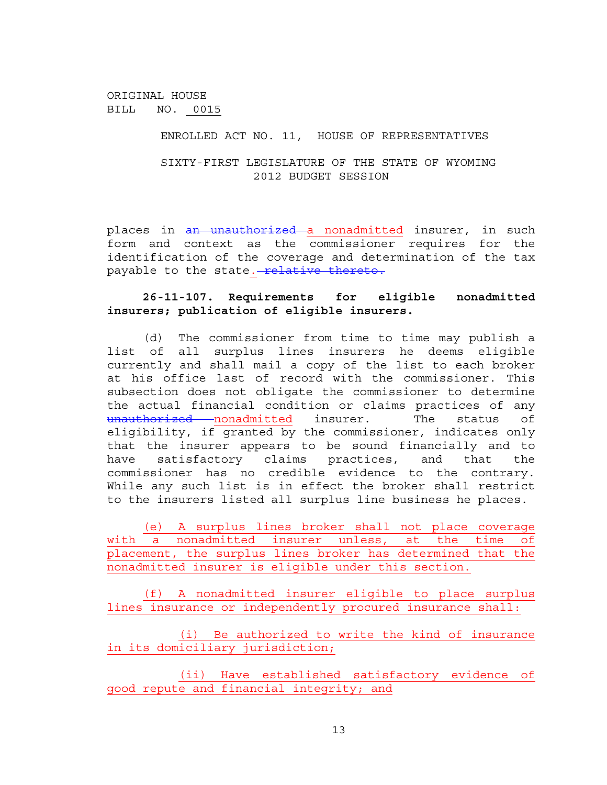#### ENROLLED ACT NO. 11, HOUSE OF REPRESENTATIVES

SIXTY-FIRST LEGISLATURE OF THE STATE OF WYOMING 2012 BUDGET SESSION

places in an unauthorized a nonadmitted insurer, in such form and context as the commissioner requires for the identification of the coverage and determination of the tax payable to the state. relative thereto.

### **26-11-107. Requirements for eligible nonadmitted insurers; publication of eligible insurers.**

(d) The commissioner from time to time may publish a list of all surplus lines insurers he deems eligible currently and shall mail a copy of the list to each broker at his office last of record with the commissioner. This subsection does not obligate the commissioner to determine the actual financial condition or claims practices of any unauthorized nonadmitted insurer. The status of eligibility, if granted by the commissioner, indicates only that the insurer appears to be sound financially and to have satisfactory claims practices, and that the commissioner has no credible evidence to the contrary. While any such list is in effect the broker shall restrict to the insurers listed all surplus line business he places.

(e) A surplus lines broker shall not place coverage with a nonadmitted insurer unless, at the time of placement, the surplus lines broker has determined that the nonadmitted insurer is eligible under this section.

(f) A nonadmitted insurer eligible to place surplus lines insurance or independently procured insurance shall:

(i) Be authorized to write the kind of insurance in its domiciliary jurisdiction;

(ii) Have established satisfactory evidence of good repute and financial integrity; and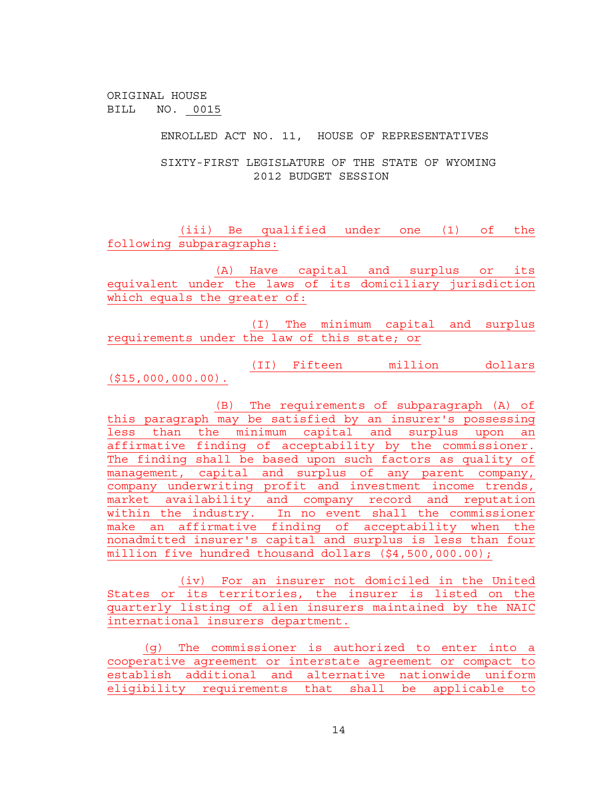ENROLLED ACT NO. 11, HOUSE OF REPRESENTATIVES

SIXTY-FIRST LEGISLATURE OF THE STATE OF WYOMING 2012 BUDGET SESSION

(iii) Be qualified under one (1) of the following subparagraphs:

(A) Have capital and surplus or its equivalent under the laws of its domiciliary jurisdiction which equals the greater of:

(I) The minimum capital and surplus requirements under the law of this state; or

(II) Fifteen million dollars (\$15,000,000.00).

(B) The requirements of subparagraph (A) of this paragraph may be satisfied by an insurer's possessing less than the minimum capital and surplus upon an affirmative finding of acceptability by the commissioner. The finding shall be based upon such factors as quality of management, capital and surplus of any parent company, company underwriting profit and investment income trends, market availability and company record and reputation within the industry. In no event shall the commissioner make an affirmative finding of acceptability when the nonadmitted insurer's capital and surplus is less than four million five hundred thousand dollars (\$4,500,000.00);

(iv) For an insurer not domiciled in the United States or its territories, the insurer is listed on the quarterly listing of alien insurers maintained by the NAIC international insurers department.

(g) The commissioner is authorized to enter into a cooperative agreement or interstate agreement or compact to establish additional and alternative nationwide uniform eligibility requirements that shall be applicable to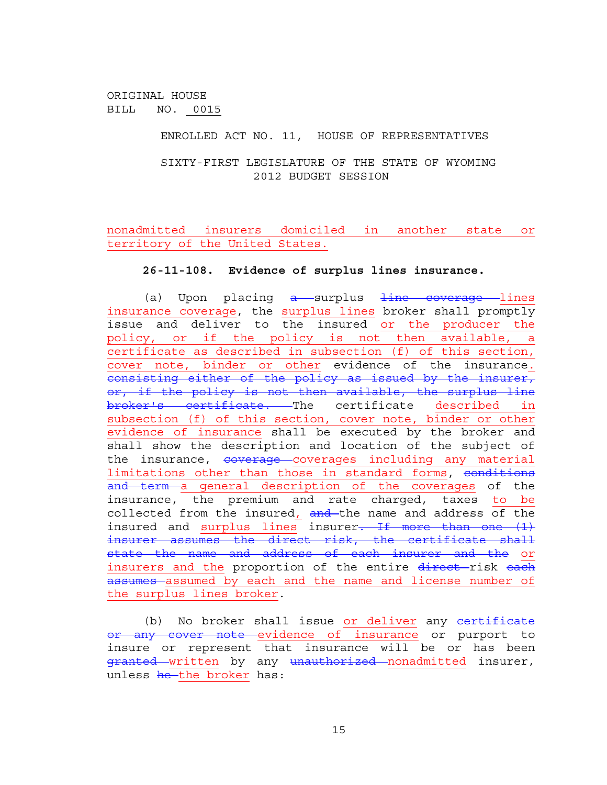### ENROLLED ACT NO. 11, HOUSE OF REPRESENTATIVES

SIXTY-FIRST LEGISLATURE OF THE STATE OF WYOMING 2012 BUDGET SESSION

nonadmitted insurers domiciled in another state or territory of the United States.

#### **26-11-108. Evidence of surplus lines insurance.**

(a) Upon placing  $a$  surplus  $\frac{1}{1}$ ine coverage lines insurance coverage, the surplus lines broker shall promptly issue and deliver to the insured or the producer the policy, or if the policy is not then available, a certificate as described in subsection (f) of this section, cover note, binder or other evidence of the insurance. consisting either of the policy as issued by the insurer, or, if the policy is not then available, the surplus line broker's certificate. The certificate described in subsection (f) of this section, cover note, binder or other evidence of insurance shall be executed by the broker and shall show the description and location of the subject of the insurance, coverage coverages including any material limitations other than those in standard forms, conditions and term a general description of the coverages of the insurance, the premium and rate charged, taxes to be collected from the insured, and the name and address of the insured and surplus lines insurer. If more than one (1) insurer assumes the direct risk, the certificate shall state the name and address of each insurer and the or insurers and the proportion of the entire direct-risk each assumes assumed by each and the name and license number of the surplus lines broker.

(b) No broker shall issue or deliver any certificate or any cover note evidence of insurance or purport to insure or represent that insurance will be or has been granted written by any unauthorized nonadmitted insurer, unless <del>he </del>the broker has: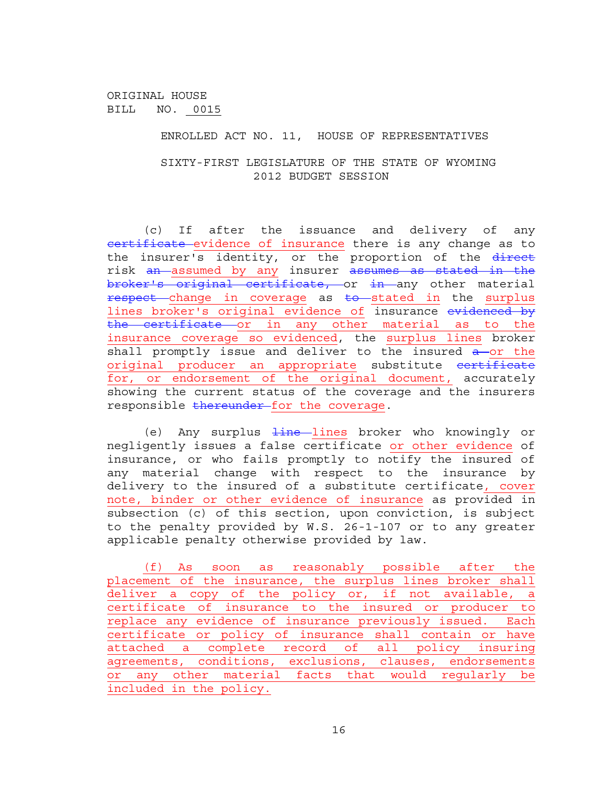ENROLLED ACT NO. 11, HOUSE OF REPRESENTATIVES

SIXTY-FIRST LEGISLATURE OF THE STATE OF WYOMING 2012 BUDGET SESSION

(c) If after the issuance and delivery of any eertificate evidence of insurance there is any change as to the insurer's identity, or the proportion of the direct risk an assumed by any insurer assumes as stated in the broker's original certificate, or in any other material respect change in coverage as to stated in the surplus lines broker's original evidence of insurance evidenced by the certificate or in any other material as to the insurance coverage so evidenced, the surplus lines broker shall promptly issue and deliver to the insured a or the original producer an appropriate substitute certificate for, or endorsement of the original document, accurately showing the current status of the coverage and the insurers responsible thereunder for the coverage.

(e) Any surplus  $\frac{1}{2}$  ines broker who knowingly or negligently issues a false certificate or other evidence of insurance, or who fails promptly to notify the insured of any material change with respect to the insurance by delivery to the insured of a substitute certificate, cover note, binder or other evidence of insurance as provided in subsection (c) of this section, upon conviction, is subject to the penalty provided by W.S. 26-1-107 or to any greater applicable penalty otherwise provided by law.

(f) As soon as reasonably possible after the placement of the insurance, the surplus lines broker shall deliver a copy of the policy or, if not available, a certificate of insurance to the insured or producer to replace any evidence of insurance previously issued. Each certificate or policy of insurance shall contain or have attached a complete record of all policy insuring agreements, conditions, exclusions, clauses, endorsements or any other material facts that would regularly be included in the policy.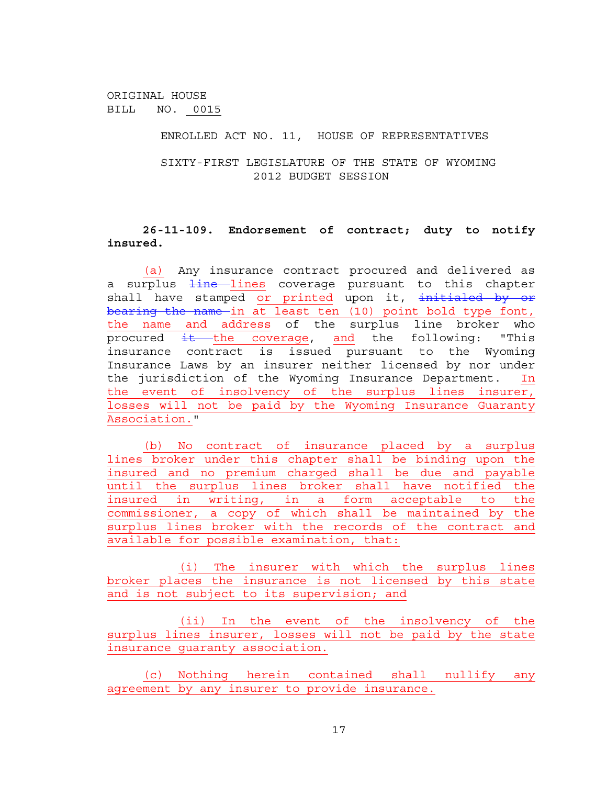ENROLLED ACT NO. 11, HOUSE OF REPRESENTATIVES

SIXTY-FIRST LEGISLATURE OF THE STATE OF WYOMING 2012 BUDGET SESSION

# **26-11-109. Endorsement of contract; duty to notify insured.**

(a) Any insurance contract procured and delivered as a surplus <del>line l</del>ines coverage pursuant to this chapter shall have stamped or printed upon it, initialed by or bearing the name in at least ten (10) point bold type font, the name and address of the surplus line broker who procured  $\frac{1}{1}$  the coverage, and the following: "This insurance contract is issued pursuant to the Wyoming Insurance Laws by an insurer neither licensed by nor under the jurisdiction of the Wyoming Insurance Department. In the event of insolvency of the surplus lines insurer, losses will not be paid by the Wyoming Insurance Guaranty Association."

(b) No contract of insurance placed by a surplus lines broker under this chapter shall be binding upon the insured and no premium charged shall be due and payable until the surplus lines broker shall have notified the insured in writing, in a form acceptable to the commissioner, a copy of which shall be maintained by the surplus lines broker with the records of the contract and available for possible examination, that:

(i) The insurer with which the surplus lines broker places the insurance is not licensed by this state and is not subject to its supervision; and

(ii) In the event of the insolvency of the surplus lines insurer, losses will not be paid by the state insurance guaranty association.

(c) Nothing herein contained shall nullify any agreement by any insurer to provide insurance.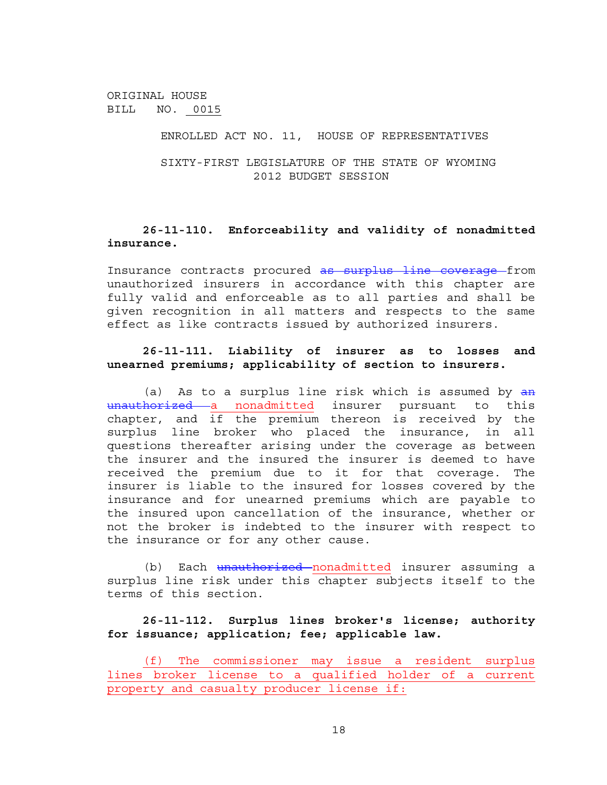### ENROLLED ACT NO. 11, HOUSE OF REPRESENTATIVES

SIXTY-FIRST LEGISLATURE OF THE STATE OF WYOMING 2012 BUDGET SESSION

# **26-11-110. Enforceability and validity of nonadmitted insurance.**

Insurance contracts procured as surplus line coverage from unauthorized insurers in accordance with this chapter are fully valid and enforceable as to all parties and shall be given recognition in all matters and respects to the same effect as like contracts issued by authorized insurers.

# **26-11-111. Liability of insurer as to losses and unearned premiums; applicability of section to insurers.**

(a) As to a surplus line risk which is assumed by  $a$ n unauthorized a nonadmitted insurer pursuant to this chapter, and  $if$  the premium thereon is received by the surplus line broker who placed the insurance, in all questions thereafter arising under the coverage as between the insurer and the insured the insurer is deemed to have received the premium due to it for that coverage. The insurer is liable to the insured for losses covered by the insurance and for unearned premiums which are payable to the insured upon cancellation of the insurance, whether or not the broker is indebted to the insurer with respect to the insurance or for any other cause.

(b) Each <del>unauthorized n</del>onadmitted insurer assuming a surplus line risk under this chapter subjects itself to the terms of this section.

# **26-11-112. Surplus lines broker's license; authority for issuance; application; fee; applicable law.**

(f)The commissioner may issue a resident surplus lines broker license to a qualified holder of a current property and casualty producer license if: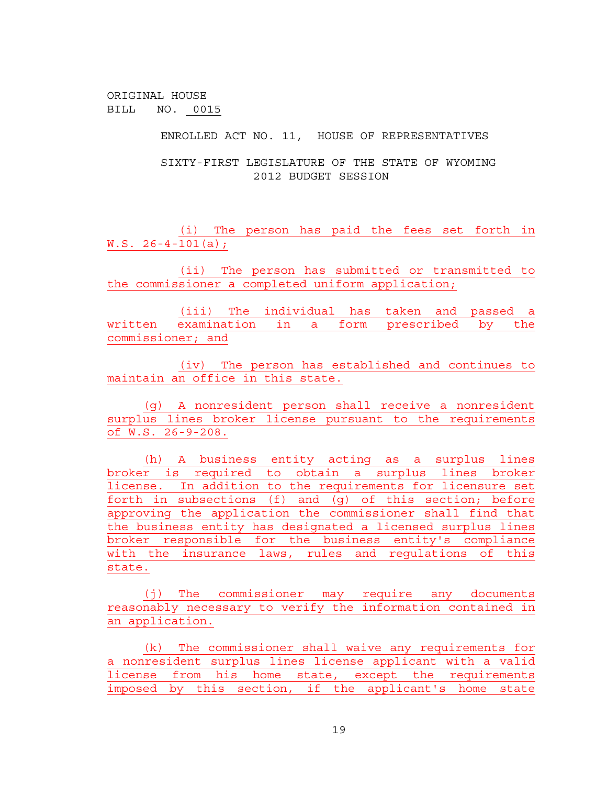ENROLLED ACT NO. 11, HOUSE OF REPRESENTATIVES

SIXTY-FIRST LEGISLATURE OF THE STATE OF WYOMING 2012 BUDGET SESSION

(i) The person has paid the fees set forth in W.S. 26-4-101(a);

(ii) The person has submitted or transmitted to the commissioner a completed uniform application;

(iii) The individual has taken and passed a written examination in a form prescribed by the commissioner; and

(iv) The person has established and continues to maintain an office in this state.

(g) A nonresident person shall receive a nonresident surplus lines broker license pursuant to the requirements of W.S. 26-9-208.

(h) A business entity acting as a surplus lines broker is required to obtain a surplus lines broker license. In addition to the requirements for licensure set forth in subsections (f) and (g) of this section; before approving the application the commissioner shall find that the business entity has designated a licensed surplus lines broker responsible for the business entity's compliance with the insurance laws, rules and regulations of this state.

(j) The commissioner may require any documents reasonably necessary to verify the information contained in an application.

(k) The commissioner shall waive any requirements for a nonresident surplus lines license applicant with a valid license from his home state, except the requirements imposed by this section, if the applicant's home state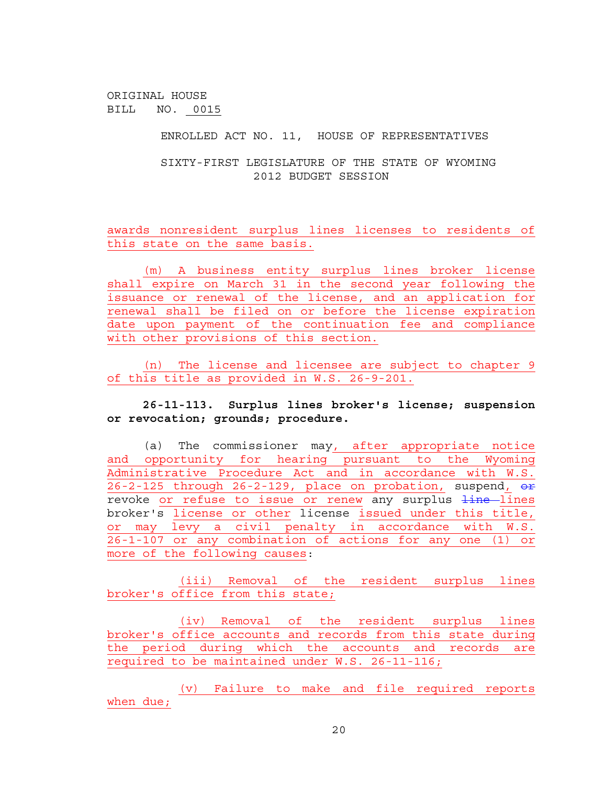ENROLLED ACT NO. 11, HOUSE OF REPRESENTATIVES

SIXTY-FIRST LEGISLATURE OF THE STATE OF WYOMING 2012 BUDGET SESSION

awards nonresident surplus lines licenses to residents of this state on the same basis.

(m) A business entity surplus lines broker license shall expire on March 31 in the second year following the issuance or renewal of the license, and an application for renewal shall be filed on or before the license expiration date upon payment of the continuation fee and compliance with other provisions of this section.

(n) The license and licensee are subject to chapter 9 of this title as provided in W.S. 26-9-201.

**26-11-113. Surplus lines broker's license; suspension or revocation; grounds; procedure.** 

(a) The commissioner may, after appropriate notice and opportunity for hearing pursuant to the Wyoming Administrative Procedure Act and in accordance with W.S. 26-2-125 through 26-2-129, place on probation, suspend, or revoke or refuse to issue or renew any surplus  $\frac{1}{10}$  lines broker's license or other license issued under this title, or may levy a civil penalty in accordance with W.S. 26-1-107 or any combination of actions for any one (1) or more of the following causes:

(iii) Removal of the resident surplus lines broker's office from this state;

(iv) Removal of the resident surplus lines broker's office accounts and records from this state during the period during which the accounts and records are required to be maintained under W.S. 26-11-116;

(v) Failure to make and file required reports when due;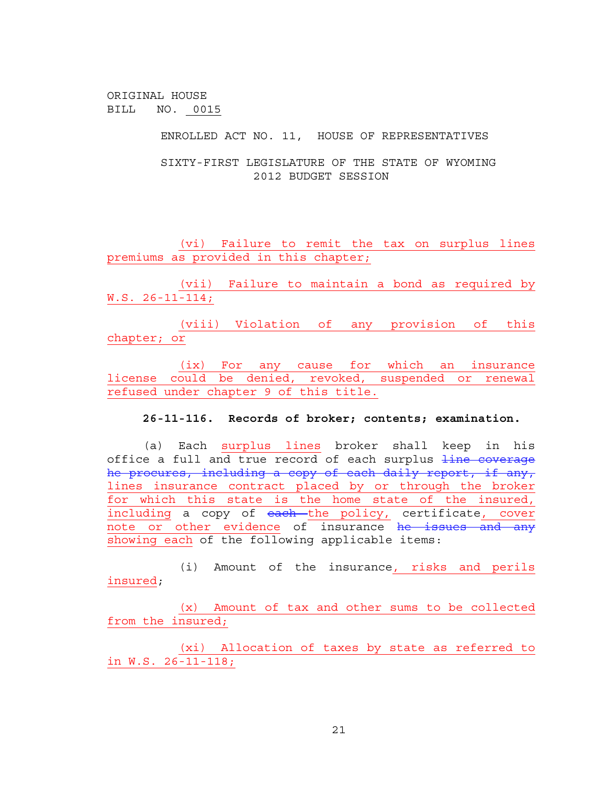ENROLLED ACT NO. 11, HOUSE OF REPRESENTATIVES

SIXTY-FIRST LEGISLATURE OF THE STATE OF WYOMING 2012 BUDGET SESSION

(vi) Failure to remit the tax on surplus lines premiums as provided in this chapter;

(vii) Failure to maintain a bond as required by W.S. 26-11-114;

(viii) Violation of any provision of this chapter; or

(ix) For any cause for which an insurance license could be denied, revoked, suspended or renewal refused under chapter 9 of this title.

**26-11-116. Records of broker; contents; examination.** 

(a) Each surplus lines broker shall keep in his office a full and true record of each surplus line coverage he procures, including a copy of each daily report, if any, lines insurance contract placed by or through the broker for which this state is the home state of the insured, including a copy of each the policy, certificate, cover note or other evidence of insurance he issues and any showing each of the following applicable items:

(i) Amount of the insurance, risks and perils insured;

(x) Amount of tax and other sums to be collected from the insured;

(xi) Allocation of taxes by state as referred to in W.S. 26-11-118;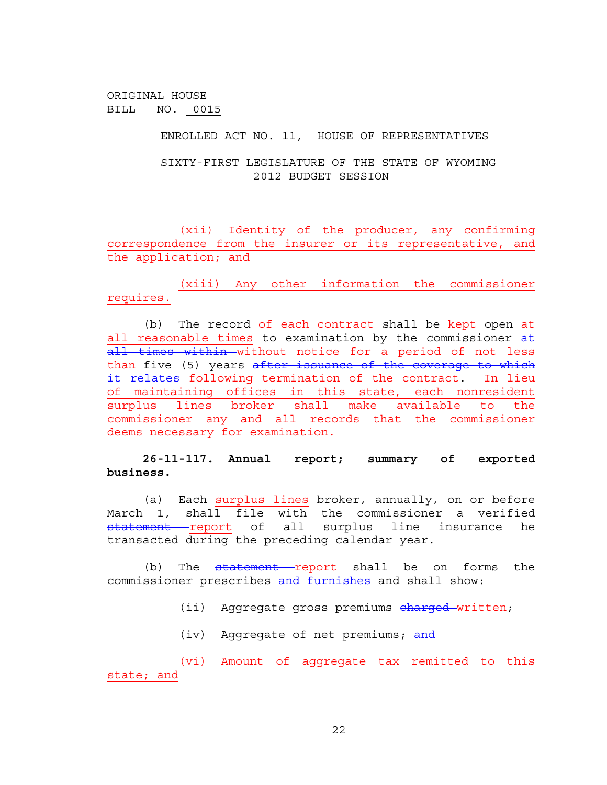ENROLLED ACT NO. 11, HOUSE OF REPRESENTATIVES

SIXTY-FIRST LEGISLATURE OF THE STATE OF WYOMING 2012 BUDGET SESSION

(xii) Identity of the producer, any confirming correspondence from the insurer or its representative, and the application; and

(xiii) Any other information the commissioner requires.

(b) The record of each contract shall be kept open at all reasonable times to examination by the commissioner at all times within without notice for a period of not less than five (5) years after issuance of the coverage to which it relates following termination of the contract. In lieu of maintaining offices in this state, each nonresident surplus lines broker shall make available to the commissioner any and all records that the commissioner deems necessary for examination.

**26-11-117. Annual report; summary of exported business.** 

(a) Each surplus lines broker, annually, on or before March 1, shall file with the commissioner a verified statement report of all surplus line insurance he transacted during the preceding calendar year.

(b) The <del>statement </del>report shall be on forms the commissioner prescribes and furnishes and shall show:

(ii) Aggregate gross premiums charged written;

(iv) Aggregate of net premiums; and

(vi) Amount of aggregate tax remitted to this state; and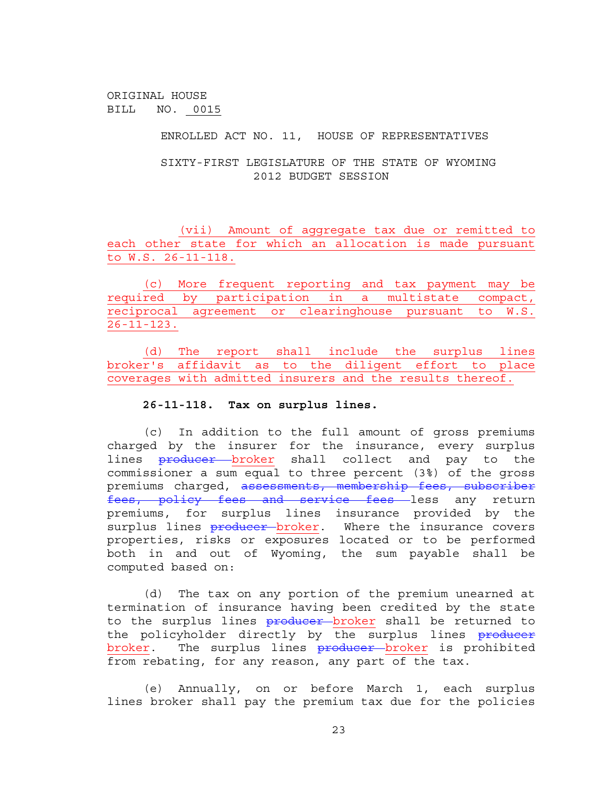ENROLLED ACT NO. 11, HOUSE OF REPRESENTATIVES

SIXTY-FIRST LEGISLATURE OF THE STATE OF WYOMING 2012 BUDGET SESSION

(vii) Amount of aggregate tax due or remitted to each other state for which an allocation is made pursuant to W.S. 26-11-118.

(c) More frequent reporting and tax payment may be required by participation in a multistate compact, reciprocal agreement or clearinghouse pursuant to W.S. 26-11-123.

(d) The report shall include the surplus lines broker's affidavit as to the diligent effort to place coverages with admitted insurers and the results thereof.

#### **26-11-118. Tax on surplus lines.**

(c) In addition to the full amount of gross premiums charged by the insurer for the insurance, every surplus lines **producer** broker shall collect and pay to the commissioner a sum equal to three percent (3%) of the gross premiums charged, assessments, membership fees, subscriber fees, policy fees and service fees less any return premiums, for surplus lines insurance provided by the surplus lines **producer** broker. Where the insurance covers properties, risks or exposures located or to be performed both in and out of Wyoming, the sum payable shall be computed based on:

(d) The tax on any portion of the premium unearned at termination of insurance having been credited by the state to the surplus lines producer broker shall be returned to the policyholder directly by the surplus lines producer broker. The surplus lines producer broker is prohibited from rebating, for any reason, any part of the tax.

(e) Annually, on or before March 1, each surplus lines broker shall pay the premium tax due for the policies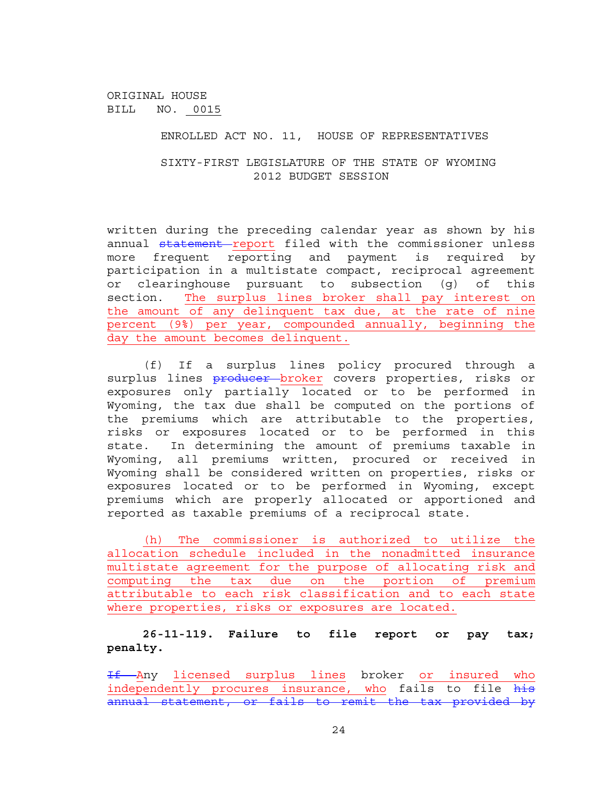ENROLLED ACT NO. 11, HOUSE OF REPRESENTATIVES

SIXTY-FIRST LEGISLATURE OF THE STATE OF WYOMING 2012 BUDGET SESSION

written during the preceding calendar year as shown by his annual statement report filed with the commissioner unless more frequent reporting and payment is required by participation in a multistate compact, reciprocal agreement or clearinghouse pursuant to subsection (g) of this section. The surplus lines broker shall pay interest on the amount of any delinquent tax due, at the rate of nine percent (9%) per year, compounded annually, beginning the day the amount becomes delinquent.

(f) If a surplus lines policy procured through a surplus lines <del>producer b</del>roker covers properties, risks or exposures only partially located or to be performed in Wyoming, the tax due shall be computed on the portions of the premiums which are attributable to the properties, risks or exposures located or to be performed in this state. In determining the amount of premiums taxable in Wyoming, all premiums written, procured or received in Wyoming shall be considered written on properties, risks or exposures located or to be performed in Wyoming, except premiums which are properly allocated or apportioned and reported as taxable premiums of a reciprocal state.

(h) The commissioner is authorized to utilize the allocation schedule included in the nonadmitted insurance multistate agreement for the purpose of allocating risk and computing the tax due on the portion of premium attributable to each risk classification and to each state where properties, risks or exposures are located.

# **26-11-119. Failure to file report or pay tax; penalty.**

If Any licensed surplus lines broker or insured who independently procures insurance, who fails to file his annual statement, or fails to remit the tax provided by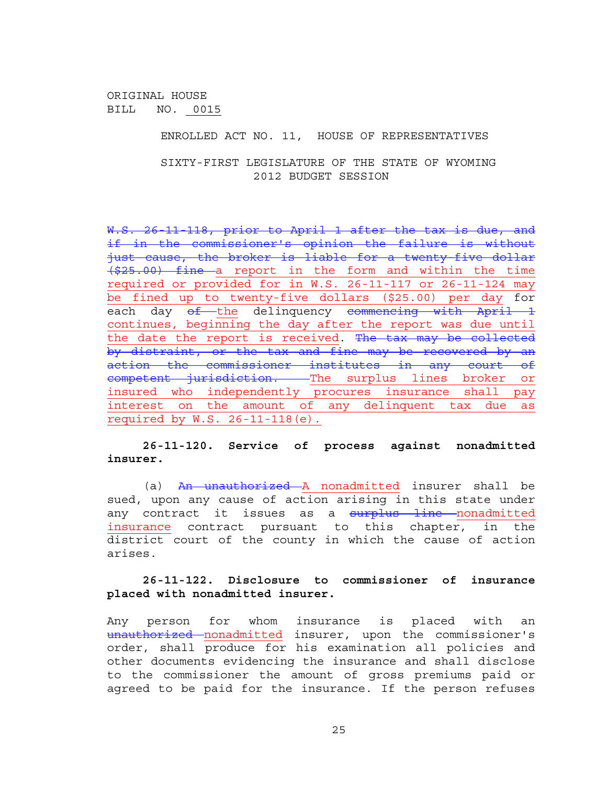ENROLLED ACT NO. 11, HOUSE OF REPRESENTATIVES

SIXTY-FIRST LEGISLATURE OF THE STATE OF WYOMING 2012 BUDGET SESSION

W.S. 26 11 118, prior to April 1 after the tax is due, and if in the commissioner's opinion the failure is without just cause, the broker is liable for a twenty-five dollar (\$25.00) fine a report in the form and within the time required or provided for in W.S. 26-11-117 or 26-11-124 may be fined up to twenty-five dollars (\$25.00) per day for each day of the delinquency commencing with April 1 continues, beginning the day after the report was due until the date the report is received. The tax may be collected by distraint, or the tax and fine may be recovered by an action the commissioner institutes in any court of competent jurisdiction. The surplus lines broker or insured who independently procures insurance shall pay interest on the amount of any delinquent tax due as required by W.S. 26-11-118(e).

**26-11-120. Service of process against nonadmitted insurer.** 

(a) <del>An unauthorized A</del> nonadmitted insurer shall be sued, upon any cause of action arising in this state under any contract it issues as a surplus line nonadmitted insurance contract pursuant to this chapter, in the district court of the county in which the cause of action arises.

## **26-11-122. Disclosure to commissioner of insurance placed with nonadmitted insurer.**

Any person for whom insurance is placed with an unauthorized nonadmitted insurer, upon the commissioner's order, shall produce for his examination all policies and other documents evidencing the insurance and shall disclose to the commissioner the amount of gross premiums paid or agreed to be paid for the insurance. If the person refuses